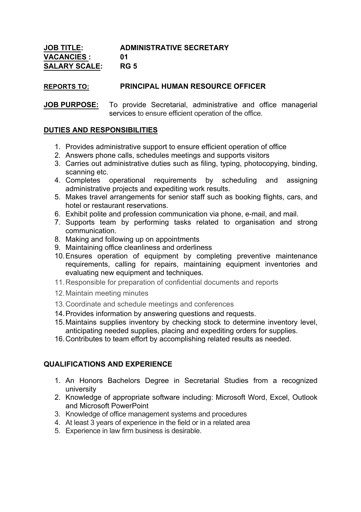| <b>JOB TITLE:</b>    | <b>ADMINISTRATIVE SECRETARY</b> |
|----------------------|---------------------------------|
| <b>VACANCIES:</b>    | በ1                              |
| <b>SALARY SCALE:</b> | <b>RG 5</b>                     |

## **REPORTS TO: PRINCIPAL HUMAN RESOURCE OFFICER**

**JOB PURPOSE:** To provide Secretarial, administrative and office managerial services to ensure efficient operation of the office.

## **DUTIES AND RESPONSIBILITIES**

- 1. Provides administrative support to ensure efficient operation of office
- 2. Answers phone calls, schedules meetings and supports visitors
- 3. Carries out administrative duties such as filing, typing, photocopying, binding, scanning etc.
- 4. Completes operational requirements by scheduling and assigning administrative projects and expediting work results.
- 5. Makes travel arrangements for senior staff such as booking flights, cars, and hotel or restaurant reservations.
- 6. Exhibit polite and profession communication via phone, e-mail, and mail.
- 7. Supports team by performing tasks related to organisation and strong communication.
- 8. Making and following up on appointments
- 9. Maintaining office cleanliness and orderliness
- 10.Ensures operation of equipment by completing preventive maintenance requirements, calling for repairs, maintaining equipment inventories and evaluating new equipment and techniques.
- 11.Responsible for preparation of confidential documents and reports
- 12.Maintain meeting minutes
- 13.Coordinate and schedule meetings and conferences
- 14.Provides information by answering questions and requests.
- 15.Maintains supplies inventory by checking stock to determine inventory level, anticipating needed supplies, placing and expediting orders for supplies.
- 16.Contributes to team effort by accomplishing related results as needed.

## **QUALIFICATIONS AND EXPERIENCE**

- 1. An Honors Bachelors Degree in Secretarial Studies from a recognized university
- 2. Knowledge of appropriate software including: Microsoft Word, Excel, Outlook and Microsoft PowerPoint
- 3. Knowledge of office management systems and procedures
- 4. At least 3 years of experience in the field or in a related area
- 5. Experience in law firm business is desirable.